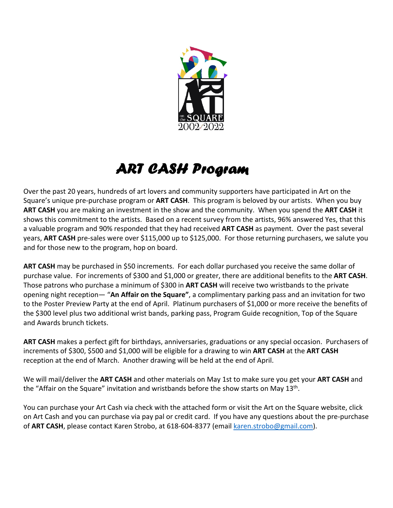

## ART CASH Program

Over the past 20 years, hundreds of art lovers and community supporters have participated in Art on the Square's unique pre-purchase program or **ART CASH**. This program is beloved by our artists. When you buy **ART CASH** you are making an investment in the show and the community. When you spend the **ART CASH** it shows this commitment to the artists. Based on a recent survey from the artists, 96% answered Yes, that this a valuable program and 90% responded that they had received **ART CASH** as payment. Over the past several years, **ART CASH** pre-sales were over \$115,000 up to \$125,000. For those returning purchasers, we salute you and for those new to the program, hop on board.

**ART CASH** may be purchased in \$50 increments. For each dollar purchased you receive the same dollar of purchase value. For increments of \$300 and \$1,000 or greater, there are additional benefits to the **ART CASH**. Those patrons who purchase a minimum of \$300 in **ART CASH** will receive two wristbands to the private opening night reception— "**An Affair on the Square"**, a complimentary parking pass and an invitation for two to the Poster Preview Party at the end of April. Platinum purchasers of \$1,000 or more receive the benefits of the \$300 level plus two additional wrist bands, parking pass, Program Guide recognition, Top of the Square and Awards brunch tickets.

**ART CASH** makes a perfect gift for birthdays, anniversaries, graduations or any special occasion. Purchasers of increments of \$300, \$500 and \$1,000 will be eligible for a drawing to win **ART CASH** at the **ART CASH** reception at the end of March. Another drawing will be held at the end of April.

We will mail/deliver the **ART CASH** and other materials on May 1st to make sure you get your **ART CASH** and the "Affair on the Square" invitation and wristbands before the show starts on May  $13<sup>th</sup>$ .

You can purchase your Art Cash via check with the attached form or visit the Art on the Square website, click on Art Cash and you can purchase via pay pal or credit card. If you have any questions about the pre-purchase of **ART CASH**, please contact Karen Strobo, at 618-604-8377 (email karen.strobo@gmail.com).